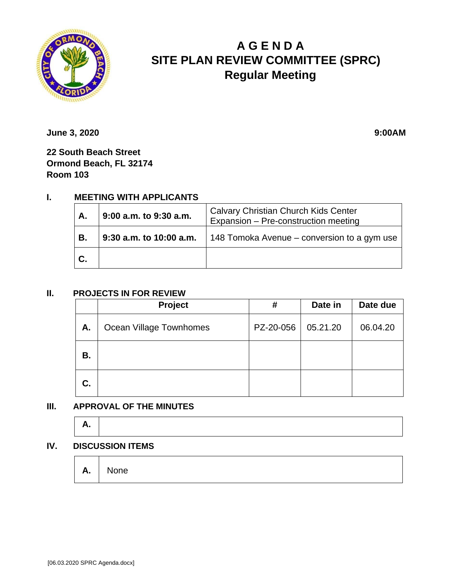

# **A G E N D A SITE PLAN REVIEW COMMITTEE (SPRC) Regular Meeting**

**June 3, 2020** 9:00AM

**22 South Beach Street Ormond Beach, FL 32174 Room 103**

## **I. MEETING WITH APPLICANTS**

| Α.  | 9:00 a.m. to 9:30 a.m.  | <b>Calvary Christian Church Kids Center</b><br>Expansion - Pre-construction meeting |  |  |
|-----|-------------------------|-------------------------------------------------------------------------------------|--|--|
| В.  | 9:30 a.m. to 10:00 a.m. | 148 Tomoka Avenue – conversion to a gym use                                         |  |  |
| IC. |                         |                                                                                     |  |  |

#### **II. PROJECTS IN FOR REVIEW**

|    | Project                 | #         | Date in  | Date due |
|----|-------------------------|-----------|----------|----------|
| Α. | Ocean Village Townhomes | PZ-20-056 | 05.21.20 | 06.04.20 |
| В. |                         |           |          |          |
| C. |                         |           |          |          |

#### **III. APPROVAL OF THE MINUTES**

| <u>ги</u> |  |  |
|-----------|--|--|
|           |  |  |

#### **IV. DISCUSSION ITEMS**

|  | $A.$ None |  |  |  |  |  |  |
|--|-----------|--|--|--|--|--|--|
|--|-----------|--|--|--|--|--|--|